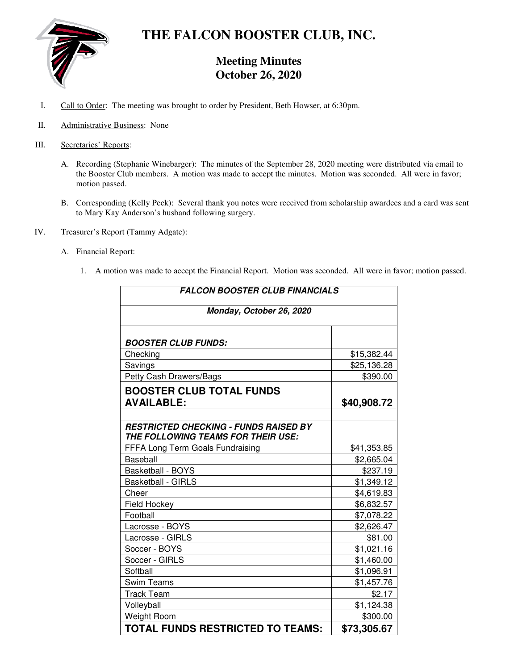

# **THE FALCON BOOSTER CLUB, INC.**

# **Meeting Minutes October 26, 2020**

- I. Call to Order: The meeting was brought to order by President, Beth Howser, at 6:30pm.
- II. Administrative Business: None
- III. Secretaries' Reports:
	- A. Recording (Stephanie Winebarger): The minutes of the September 28, 2020 meeting were distributed via email to the Booster Club members. A motion was made to accept the minutes. Motion was seconded. All were in favor; motion passed.
	- B. Corresponding (Kelly Peck): Several thank you notes were received from scholarship awardees and a card was sent to Mary Kay Anderson's husband following surgery.
- IV. Treasurer's Report (Tammy Adgate):
	- A. Financial Report:
		- 1. A motion was made to accept the Financial Report. Motion was seconded. All were in favor; motion passed.

| <b>FALCON BOOSTER CLUB FINANCIALS</b>                                              |             |
|------------------------------------------------------------------------------------|-------------|
| Monday, October 26, 2020                                                           |             |
|                                                                                    |             |
| <b>BOOSTER CLUB FUNDS:</b>                                                         |             |
| Checking                                                                           | \$15,382.44 |
| Savings                                                                            | \$25,136.28 |
| Petty Cash Drawers/Bags                                                            | \$390.00    |
| <b>BOOSTER CLUB TOTAL FUNDS</b>                                                    |             |
| <b>AVAILABLE:</b>                                                                  | \$40,908.72 |
|                                                                                    |             |
| <b>RESTRICTED CHECKING - FUNDS RAISED BY</b><br>THE FOLLOWING TEAMS FOR THEIR USE: |             |
| FFFA Long Term Goals Fundraising                                                   | \$41,353.85 |
| <b>Baseball</b>                                                                    | \$2,665.04  |
| Basketball - BOYS                                                                  | \$237.19    |
| <b>Basketball - GIRLS</b>                                                          | \$1,349.12  |
| Cheer                                                                              | \$4,619.83  |
| Field Hockey                                                                       | \$6,832.57  |
| Football                                                                           | \$7,078.22  |
| Lacrosse - BOYS                                                                    | \$2,626.47  |
| Lacrosse - GIRLS                                                                   | \$81.00     |
| Soccer - BOYS                                                                      | \$1,021.16  |
| Soccer - GIRLS                                                                     | \$1,460.00  |
| Softball                                                                           | \$1,096.91  |
| <b>Swim Teams</b>                                                                  | \$1,457.76  |
| <b>Track Team</b>                                                                  | \$2.17      |
| Volleyball                                                                         | \$1,124.38  |
| Weight Room                                                                        | \$300.00    |
| <b>TOTAL FUNDS RESTRICTED TO TEAMS:</b>                                            | \$73,305.67 |